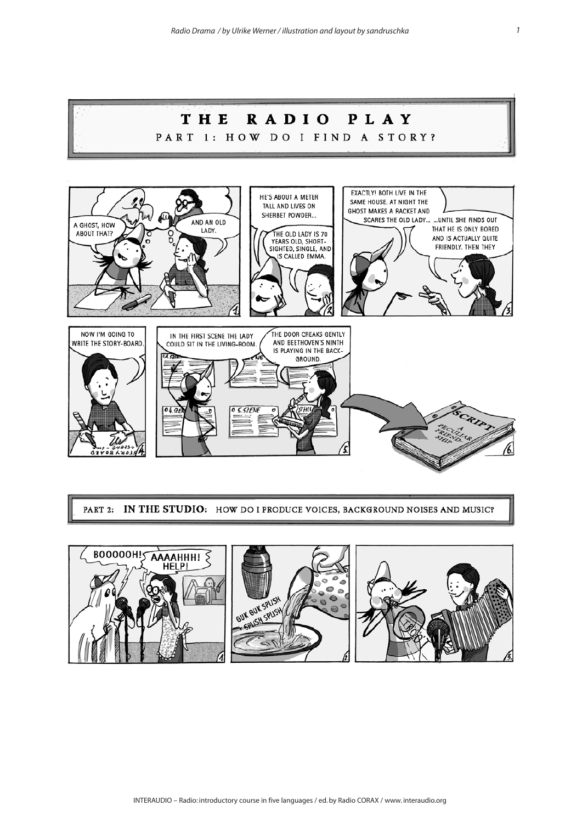

PART 2: IN THE STUDIO: HOW DO I PRODUCE VOICES, BACKGROUND NOISES AND MUSIC?

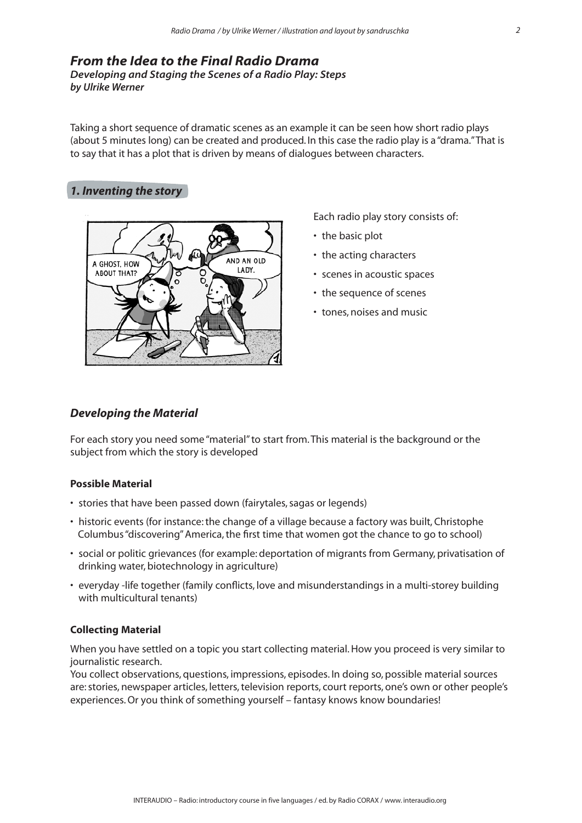# *From the Idea to the Final Radio Drama Developing and Staging the Scenes of a Radio Play: Steps by Ulrike Werner*

Taking a short sequence of dramatic scenes as an example it can be seen how short radio plays (about 5 minutes long) can be created and produced. In this case the radio play is a "drama." That is to say that it has a plot that is driven by means of dialogues between characters.

# *1. Inventing the story*



Each radio play story consists of:

- the basic plot
- the acting characters
- scenes in acoustic spaces
- the sequence of scenes
- tones, noises and music

## *Developing the Material*

For each story you need some "material" to start from. This material is the background or the subject from which the story is developed

## **Possible Material**

- stories that have been passed down (fairytales, sagas or legends)
- historic events (for instance: the change of a village because a factory was built, Christophe Columbus "discovering" America, the first time that women got the chance to go to school)
- social or politic grievances (for example: deportation of migrants from Germany, privatisation of drinking water, biotechnology in agriculture)
- everyday -life together (family conflicts, love and misunderstandings in a multi-storey building with multicultural tenants)

## **Collecting Material**

When you have settled on a topic you start collecting material. How you proceed is very similar to journalistic research.

You collect observations, questions, impressions, episodes. In doing so, possible material sources are: stories, newspaper articles, letters, television reports, court reports, one's own or other people's experiences. Or you think of something yourself – fantasy knows know boundaries!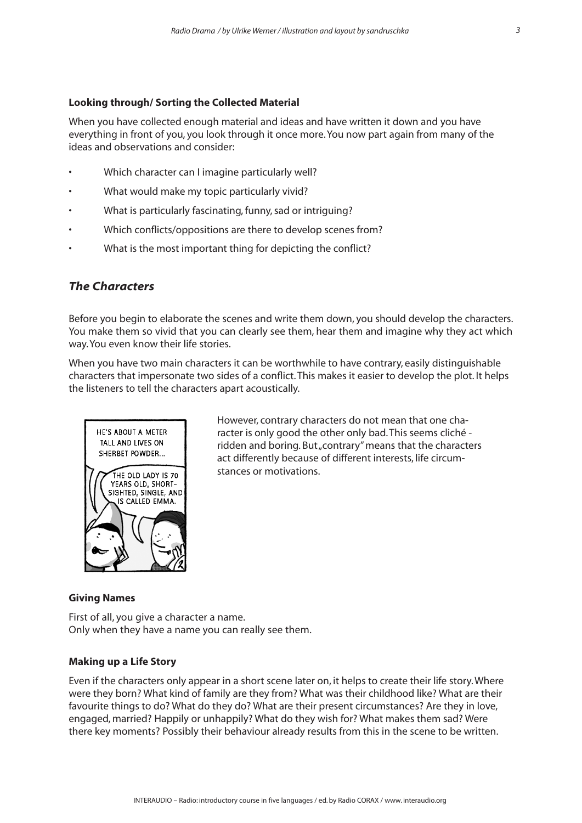### **Looking through/ Sorting the Collected Material**

When you have collected enough material and ideas and have written it down and you have everything in front of you, you look through it once more. You now part again from many of the ideas and observations and consider:

- Which character can I imagine particularly well?
- What would make my topic particularly vivid?
- What is particularly fascinating, funny, sad or intriguing?
- Which conflicts/oppositions are there to develop scenes from?
- What is the most important thing for depicting the conflict?

# *The Characters*

Before you begin to elaborate the scenes and write them down, you should develop the characters. You make them so vivid that you can clearly see them, hear them and imagine why they act which way. You even know their life stories.

When you have two main characters it can be worthwhile to have contrary, easily distinguishable characters that impersonate two sides of a conflict. This makes it easier to develop the plot. It helps the listeners to tell the characters apart acoustically.



However, contrary characters do not mean that one character is only good the other only bad. This seems cliché ridden and boring. But "contrary" means that the characters act differently because of different interests, life circumstances or motivations.

#### **Giving Names**

First of all, you give a character a name. Only when they have a name you can really see them.

#### **Making up a Life Story**

Even if the characters only appear in a short scene later on, it helps to create their life story. Where were they born? What kind of family are they from? What was their childhood like? What are their favourite things to do? What do they do? What are their present circumstances? Are they in love, engaged, married? Happily or unhappily? What do they wish for? What makes them sad? Were there key moments? Possibly their behaviour already results from this in the scene to be written.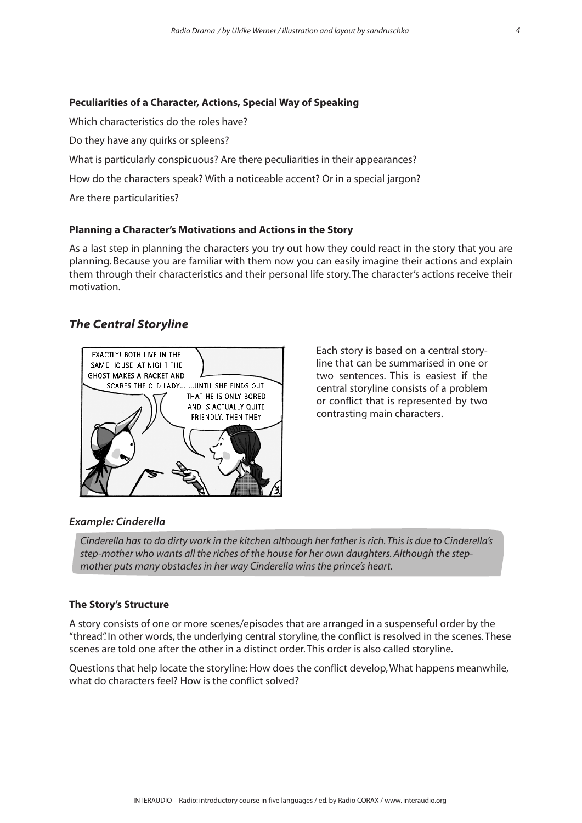### **Peculiarities of a Character, Actions, Special Way of Speaking**

Which characteristics do the roles have?

Do they have any quirks or spleens?

What is particularly conspicuous? Are there peculiarities in their appearances?

How do the characters speak? With a noticeable accent? Or in a special jargon?

Are there particularities?

### **Planning a Character's Motivations and Actions in the Story**

As a last step in planning the characters you try out how they could react in the story that you are planning. Because you are familiar with them now you can easily imagine their actions and explain them through their characteristics and their personal life story. The character's actions receive their motivation.

# *The Central Storyline*



Each story is based on a central storyline that can be summarised in one or two sentences. This is easiest if the central storyline consists of a problem or conflict that is represented by two contrasting main characters.

### *Example: Cinderella*

*Cinderella has to do dirty work in the kitchen although her father is rich. This is due to Cinderella's step-mother who wants all the riches of the house for her own daughters. Although the stepmother puts many obstacles in her way Cinderella wins the prince's heart.* 

#### **The Story's Structure**

A story consists of one or more scenes/episodes that are arranged in a suspenseful order by the "thread". In other words, the underlying central storyline, the conflict is resolved in the scenes. These scenes are told one after the other in a distinct order. This order is also called storyline.

Questions that help locate the storyline: How does the conflict develop, What happens meanwhile, what do characters feel? How is the conflict solved?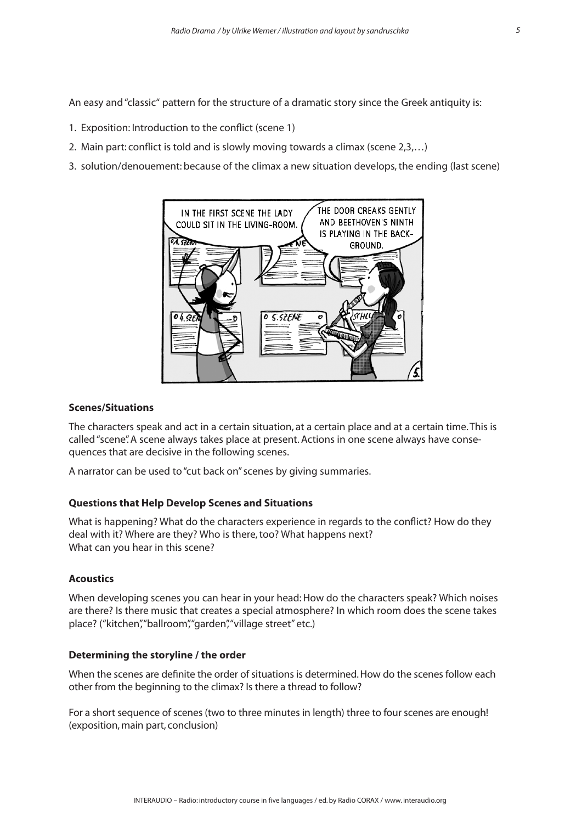An easy and "classic" pattern for the structure of a dramatic story since the Greek antiquity is:

- 1. Exposition: Introduction to the conflict (scene 1)
- 2. Main part: conflict is told and is slowly moving towards a climax (scene 2,3,…)
- 3. solution/denouement: because of the climax a new situation develops, the ending (last scene)



### **Scenes/Situations**

The characters speak and act in a certain situation, at a certain place and at a certain time. This is called "scene". A scene always takes place at present. Actions in one scene always have consequences that are decisive in the following scenes.

A narrator can be used to "cut back on" scenes by giving summaries.

#### **Questions that Help Develop Scenes and Situations**

What is happening? What do the characters experience in regards to the conflict? How do they deal with it? Where are they? Who is there, too? What happens next? What can you hear in this scene?

#### **Acoustics**

When developing scenes you can hear in your head: How do the characters speak? Which noises are there? Is there music that creates a special atmosphere? In which room does the scene takes place? ("kitchen", "ballroom", "garden", "village street" etc.)

#### **Determining the storyline / the order**

When the scenes are definite the order of situations is determined. How do the scenes follow each other from the beginning to the climax? Is there a thread to follow?

For a short sequence of scenes (two to three minutes in length) three to four scenes are enough! (exposition, main part, conclusion)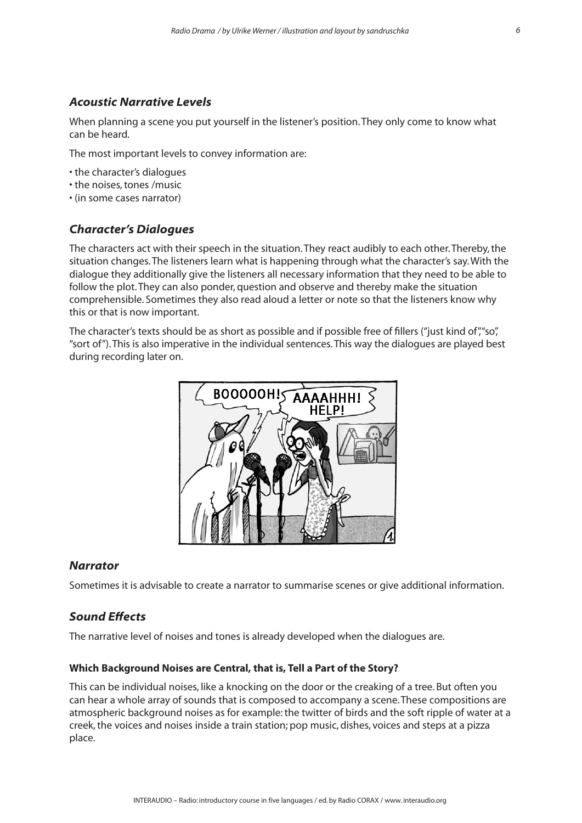# *Acoustic Narrative Levels*

When planning a scene you put yourself in the listener's position. They only come to know what can be heard.

The most important levels to convey information are:

- the character's dialogues
- the noises, tones /music
- (in some cases narrator)

# *Character's Dialogues*

The characters act with their speech in the situation. They react audibly to each other. Thereby, the situation changes. The listeners learn what is happening through what the character's say. With the dialogue they additionally give the listeners all necessary information that they need to be able to follow the plot. They can also ponder, question and observe and thereby make the situation comprehensible. Sometimes they also read aloud a letter or note so that the listeners know why this or that is now important.

The character's texts should be as short as possible and if possible free of fillers ("just kind of","so", "sort of"). This is also imperative in the individual sentences. This way the dialogues are played best during recording later on.



## *Narrator*

Sometimes it is advisable to create a narrator to summarise scenes or give additional information.

## *Sound Effects*

The narrative level of noises and tones is already developed when the dialogues are.

### **Which Background Noises are Central, that is, Tell a Part of the Story?**

This can be individual noises, like a knocking on the door or the creaking of a tree. But often you can hear a whole array of sounds that is composed to accompany a scene. These compositions are atmospheric background noises as for example: the twitter of birds and the soft ripple of water at a creek, the voices and noises inside a train station; pop music, dishes, voices and steps at a pizza place.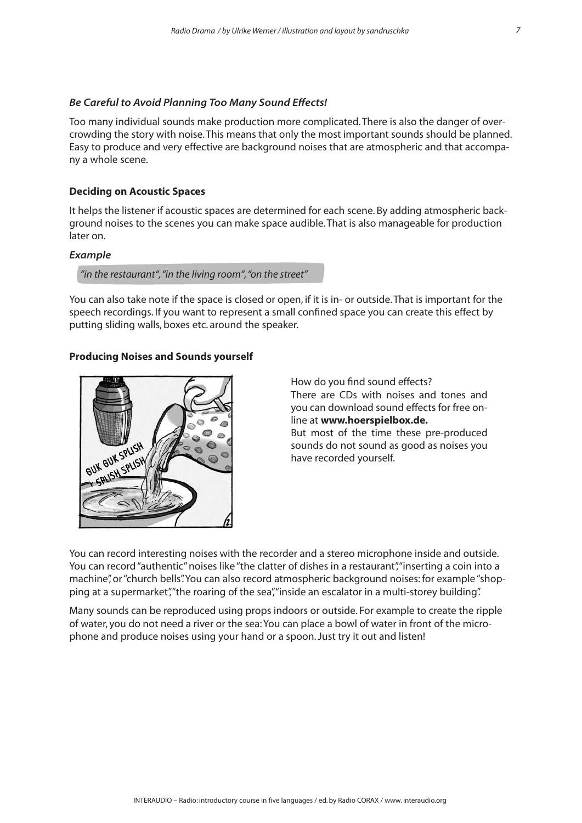#### *Be Careful to Avoid Planning Too Many Sound Effects!*

Too many individual sounds make production more complicated. There is also the danger of overcrowding the story with noise. This means that only the most important sounds should be planned. Easy to produce and very effective are background noises that are atmospheric and that accompany a whole scene.

#### **Deciding on Acoustic Spaces**

It helps the listener if acoustic spaces are determined for each scene. By adding atmospheric background noises to the scenes you can make space audible. That is also manageable for production later on.

#### *Example*

*"in the restaurant", "in the living room", "on the street"*

You can also take note if the space is closed or open, if it is in- or outside. That is important for the speech recordings. If you want to represent a small confined space you can create this effect by putting sliding walls, boxes etc. around the speaker.

#### **Producing Noises and Sounds yourself**



How do you find sound effects? There are CDs with noises and tones and you can download sound effects for free online at **www.hoerspielbox.de.** 

But most of the time these pre-produced sounds do not sound as good as noises you have recorded yourself.

You can record interesting noises with the recorder and a stereo microphone inside and outside. You can record "authentic" noises like "the clatter of dishes in a restaurant", "inserting a coin into a machine", or "church bells". You can also record atmospheric background noises: for example "shopping at a supermarket", "the roaring of the sea", "inside an escalator in a multi-storey building".

Many sounds can be reproduced using props indoors or outside. For example to create the ripple of water, you do not need a river or the sea: You can place a bowl of water in front of the microphone and produce noises using your hand or a spoon. Just try it out and listen!